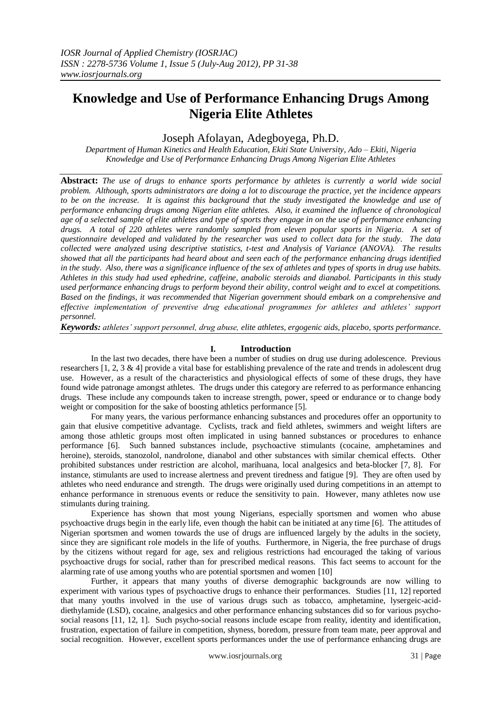# **Knowledge and Use of Performance Enhancing Drugs Among Nigeria Elite Athletes**

Joseph Afolayan, Adegboyega, Ph.D.

*Department of Human Kinetics and Health Education, Ekiti State University, Ado – Ekiti, Nigeria Knowledge and Use of Performance Enhancing Drugs Among Nigerian Elite Athletes*

**Abstract:** *The use of drugs to enhance sports performance by athletes is currently a world wide social problem. Although, sports administrators are doing a lot to discourage the practice, yet the incidence appears to be on the increase. It is against this background that the study investigated the knowledge and use of performance enhancing drugs among Nigerian elite athletes. Also, it examined the influence of chronological age of a selected sample of elite athletes and type of sports they engage in on the use of performance enhancing drugs. A total of 220 athletes were randomly sampled from eleven popular sports in Nigeria. A set of questionnaire developed and validated by the researcher was used to collect data for the study. The data collected were analyzed using descriptive statistics, t-test and Analysis of Variance (ANOVA). The results showed that all the participants had heard about and seen each of the performance enhancing drugs identified in the study. Also, there was a significance influence of the sex of athletes and types of sports in drug use habits. Athletes in this study had used ephedrine, caffeine, anabolic steroids and dianabol. Participants in this study used performance enhancing drugs to perform beyond their ability, control weight and to excel at competitions. Based on the findings, it was recommended that Nigerian government should embark on a comprehensive and effective implementation of preventive drug educational programmes for athletes and athletes' support personnel.*

*Keywords: athletes' support personnel, drug abuse, elite athletes, ergogenic aids, placebo, sports performance.*

### **I. Introduction**

In the last two decades, there have been a number of studies on drug use during adolescence. Previous researchers [1, 2, 3 & 4] provide a vital base for establishing prevalence of the rate and trends in adolescent drug use. However, as a result of the characteristics and physiological effects of some of these drugs, they have found wide patronage amongst athletes. The drugs under this category are referred to as performance enhancing drugs. These include any compounds taken to increase strength, power, speed or endurance or to change body weight or composition for the sake of boosting athletics performance [5].

For many years, the various performance enhancing substances and procedures offer an opportunity to gain that elusive competitive advantage. Cyclists, track and field athletes, swimmers and weight lifters are among those athletic groups most often implicated in using banned substances or procedures to enhance performance [6]. Such banned substances include, psychoactive stimulants (cocaine, amphetamines and heroine), steroids, stanozolol, nandrolone, dianabol and other substances with similar chemical effects. Other prohibited substances under restriction are alcohol, marihuana, local analgesics and beta-blocker [7, 8]. For instance, stimulants are used to increase alertness and prevent tiredness and fatigue [9]. They are often used by athletes who need endurance and strength. The drugs were originally used during competitions in an attempt to enhance performance in strenuous events or reduce the sensitivity to pain. However, many athletes now use stimulants during training.

Experience has shown that most young Nigerians, especially sportsmen and women who abuse psychoactive drugs begin in the early life, even though the habit can be initiated at any time [6]. The attitudes of Nigerian sportsmen and women towards the use of drugs are influenced largely by the adults in the society, since they are significant role models in the life of youths. Furthermore, in Nigeria, the free purchase of drugs by the citizens without regard for age, sex and religious restrictions had encouraged the taking of various psychoactive drugs for social, rather than for prescribed medical reasons. This fact seems to account for the alarming rate of use among youths who are potential sportsmen and women [10]

Further, it appears that many youths of diverse demographic backgrounds are now willing to experiment with various types of psychoactive drugs to enhance their performances. Studies [11, 12] reported that many youths involved in the use of various drugs such as tobacco, amphetamine, lysergeic-aciddiethylamide (LSD), cocaine, analgesics and other performance enhancing substances did so for various psychosocial reasons [11, 12, 1]. Such psycho-social reasons include escape from reality, identity and identification, frustration, expectation of failure in competition, shyness, boredom, pressure from team mate, peer approval and social recognition. However, excellent sports performances under the use of performance enhancing drugs are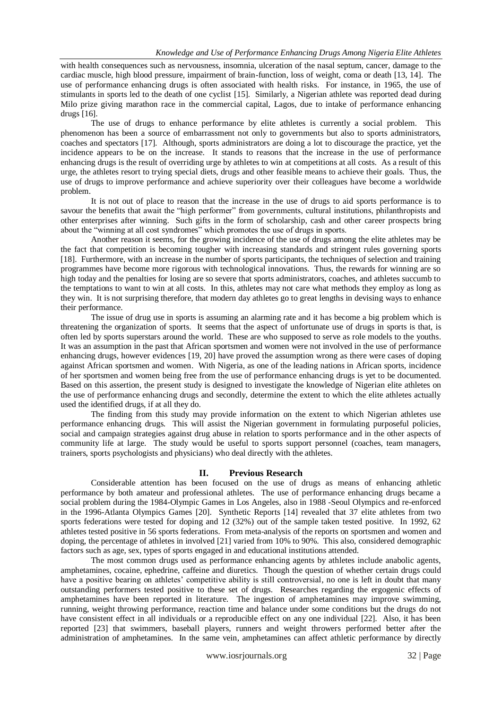with health consequences such as nervousness, insomnia, ulceration of the nasal septum, cancer, damage to the cardiac muscle, high blood pressure, impairment of brain-function, loss of weight, coma or death [13, 14]. The use of performance enhancing drugs is often associated with health risks. For instance, in 1965, the use of stimulants in sports led to the death of one cyclist [15]. Similarly, a Nigerian athlete was reported dead during Milo prize giving marathon race in the commercial capital, Lagos, due to intake of performance enhancing drugs [16].

The use of drugs to enhance performance by elite athletes is currently a social problem. This phenomenon has been a source of embarrassment not only to governments but also to sports administrators, coaches and spectators [17]. Although, sports administrators are doing a lot to discourage the practice, yet the incidence appears to be on the increase. It stands to reasons that the increase in the use of performance enhancing drugs is the result of overriding urge by athletes to win at competitions at all costs. As a result of this urge, the athletes resort to trying special diets, drugs and other feasible means to achieve their goals. Thus, the use of drugs to improve performance and achieve superiority over their colleagues have become a worldwide problem.

It is not out of place to reason that the increase in the use of drugs to aid sports performance is to savour the benefits that await the "high performer" from governments, cultural institutions, philanthropists and other enterprises after winning. Such gifts in the form of scholarship, cash and other career prospects bring about the "winning at all cost syndromes" which promotes the use of drugs in sports.

Another reason it seems, for the growing incidence of the use of drugs among the elite athletes may be the fact that competition is becoming tougher with increasing standards and stringent rules governing sports [18]. Furthermore, with an increase in the number of sports participants, the techniques of selection and training programmes have become more rigorous with technological innovations. Thus, the rewards for winning are so high today and the penalties for losing are so severe that sports administrators, coaches, and athletes succumb to the temptations to want to win at all costs. In this, athletes may not care what methods they employ as long as they win. It is not surprising therefore, that modern day athletes go to great lengths in devising ways to enhance their performance.

The issue of drug use in sports is assuming an alarming rate and it has become a big problem which is threatening the organization of sports. It seems that the aspect of unfortunate use of drugs in sports is that, is often led by sports superstars around the world. These are who supposed to serve as role models to the youths. It was an assumption in the past that African sportsmen and women were not involved in the use of performance enhancing drugs, however evidences [19, 20] have proved the assumption wrong as there were cases of doping against African sportsmen and women. With Nigeria, as one of the leading nations in African sports, incidence of her sportsmen and women being free from the use of performance enhancing drugs is yet to be documented. Based on this assertion, the present study is designed to investigate the knowledge of Nigerian elite athletes on the use of performance enhancing drugs and secondly, determine the extent to which the elite athletes actually used the identified drugs, if at all they do.

The finding from this study may provide information on the extent to which Nigerian athletes use performance enhancing drugs. This will assist the Nigerian government in formulating purposeful policies, social and campaign strategies against drug abuse in relation to sports performance and in the other aspects of community life at large. The study would be useful to sports support personnel (coaches, team managers, trainers, sports psychologists and physicians) who deal directly with the athletes.

#### **II. Previous Research**

Considerable attention has been focused on the use of drugs as means of enhancing athletic performance by both amateur and professional athletes. The use of performance enhancing drugs became a social problem during the 1984-Olympic Games in Los Angeles, also in 1988 -Seoul Olympics and re-enforced in the 1996-Atlanta Olympics Games [20]. Synthetic Reports [14] revealed that 37 elite athletes from two sports federations were tested for doping and 12 (32%) out of the sample taken tested positive. In 1992, 62 athletes tested positive in 56 sports federations. From meta-analysis of the reports on sportsmen and women and doping, the percentage of athletes in involved [21] varied from 10% to 90%. This also, considered demographic factors such as age, sex, types of sports engaged in and educational institutions attended.

The most common drugs used as performance enhancing agents by athletes include anabolic agents, amphetamines, cocaine, ephedrine, caffeine and diuretics. Though the question of whether certain drugs could have a positive bearing on athletes' competitive ability is still controversial, no one is left in doubt that many outstanding performers tested positive to these set of drugs. Researches regarding the ergogenic effects of amphetamines have been reported in literature. The ingestion of amphetamines may improve swimming, running, weight throwing performance, reaction time and balance under some conditions but the drugs do not have consistent effect in all individuals or a reproducible effect on any one individual [22]. Also, it has been reported [23] that swimmers, baseball players, runners and weight throwers performed better after the administration of amphetamines. In the same vein, amphetamines can affect athletic performance by directly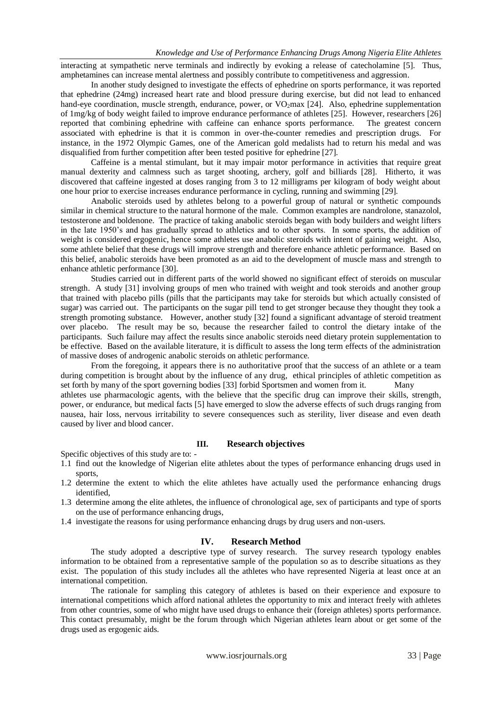interacting at sympathetic nerve terminals and indirectly by evoking a release of catecholamine [5]. Thus, amphetamines can increase mental alertness and possibly contribute to competitiveness and aggression.

In another study designed to investigate the effects of ephedrine on sports performance, it was reported that ephedrine (24mg) increased heart rate and blood pressure during exercise, but did not lead to enhanced hand-eye coordination, muscle strength, endurance, power, or  $VO<sub>2</sub>$ max [24]. Also, ephedrine supplementation of 1mg/kg of body weight failed to improve endurance performance of athletes [25]. However, researchers [26] reported that combining ephedrine with caffeine can enhance sports performance. The greatest concern associated with ephedrine is that it is common in over-the-counter remedies and prescription drugs. For instance, in the 1972 Olympic Games, one of the American gold medalists had to return his medal and was disqualified from further competition after been tested positive for ephedrine [27].

Caffeine is a mental stimulant, but it may impair motor performance in activities that require great manual dexterity and calmness such as target shooting, archery, golf and billiards [28]. Hitherto, it was discovered that caffeine ingested at doses ranging from 3 to 12 milligrams per kilogram of body weight about one hour prior to exercise increases endurance performance in cycling, running and swimming [29].

Anabolic steroids used by athletes belong to a powerful group of natural or synthetic compounds similar in chemical structure to the natural hormone of the male. Common examples are nandrolone, stanazolol, testosterone and boldenone. The practice of taking anabolic steroids began with body builders and weight lifters in the late 1950"s and has gradually spread to athletics and to other sports. In some sports, the addition of weight is considered ergogenic, hence some athletes use anabolic steroids with intent of gaining weight. Also, some athlete belief that these drugs will improve strength and therefore enhance athletic performance. Based on this belief, anabolic steroids have been promoted as an aid to the development of muscle mass and strength to enhance athletic performance [30].

Studies carried out in different parts of the world showed no significant effect of steroids on muscular strength. A study [31] involving groups of men who trained with weight and took steroids and another group that trained with placebo pills (pills that the participants may take for steroids but which actually consisted of sugar) was carried out. The participants on the sugar pill tend to get stronger because they thought they took a strength promoting substance. However, another study [32] found a significant advantage of steroid treatment over placebo. The result may be so, because the researcher failed to control the dietary intake of the participants. Such failure may affect the results since anabolic steroids need dietary protein supplementation to be effective. Based on the available literature, it is difficult to assess the long term effects of the administration of massive doses of androgenic anabolic steroids on athletic performance.

From the foregoing, it appears there is no authoritative proof that the success of an athlete or a team during competition is brought about by the influence of any drug, ethical principles of athletic competition as set forth by many of the sport governing bodies [33] forbid Sportsmen and women from it. Many athletes use pharmacologic agents, with the believe that the specific drug can improve their skills, strength, power, or endurance, but medical facts [5] have emerged to slow the adverse effects of such drugs ranging from nausea, hair loss, nervous irritability to severe consequences such as sterility, liver disease and even death caused by liver and blood cancer.

#### **III. Research objectives**

Specific objectives of this study are to: -

- 1.1 find out the knowledge of Nigerian elite athletes about the types of performance enhancing drugs used in sports,
- 1.2 determine the extent to which the elite athletes have actually used the performance enhancing drugs identified,
- 1.3 determine among the elite athletes, the influence of chronological age, sex of participants and type of sports on the use of performance enhancing drugs,
- 1.4 investigate the reasons for using performance enhancing drugs by drug users and non-users.

#### **IV. Research Method**

The study adopted a descriptive type of survey research. The survey research typology enables information to be obtained from a representative sample of the population so as to describe situations as they exist. The population of this study includes all the athletes who have represented Nigeria at least once at an international competition.

The rationale for sampling this category of athletes is based on their experience and exposure to international competitions which afford national athletes the opportunity to mix and interact freely with athletes from other countries, some of who might have used drugs to enhance their (foreign athletes) sports performance. This contact presumably, might be the forum through which Nigerian athletes learn about or get some of the drugs used as ergogenic aids.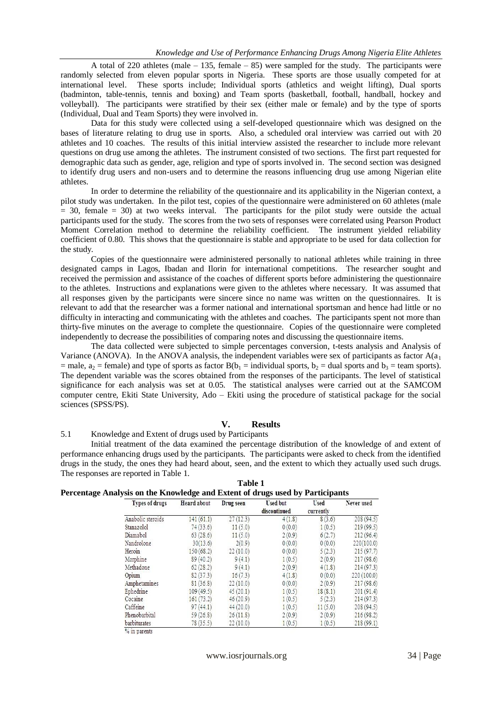A total of 220 athletes (male – 135, female – 85) were sampled for the study. The participants were randomly selected from eleven popular sports in Nigeria. These sports are those usually competed for at international level. These sports include; Individual sports (athletics and weight lifting), Dual sports (badminton, table-tennis, tennis and boxing) and Team sports (basketball, football, handball, hockey and volleyball). The participants were stratified by their sex (either male or female) and by the type of sports (Individual, Dual and Team Sports) they were involved in.

Data for this study were collected using a self-developed questionnaire which was designed on the bases of literature relating to drug use in sports. Also, a scheduled oral interview was carried out with 20 athletes and 10 coaches. The results of this initial interview assisted the researcher to include more relevant questions on drug use among the athletes. The instrument consisted of two sections. The first part requested for demographic data such as gender, age, religion and type of sports involved in. The second section was designed to identify drug users and non-users and to determine the reasons influencing drug use among Nigerian elite athletes.

In order to determine the reliability of the questionnaire and its applicability in the Nigerian context, a pilot study was undertaken. In the pilot test, copies of the questionnaire were administered on 60 athletes (male  $= 30$ , female  $= 30$ ) at two weeks interval. The participants for the pilot study were outside the actual participants used for the study. The scores from the two sets of responses were correlated using Pearson Product Moment Correlation method to determine the reliability coefficient. The instrument yielded reliability coefficient of 0.80. This shows that the questionnaire is stable and appropriate to be used for data collection for the study.

Copies of the questionnaire were administered personally to national athletes while training in three designated camps in Lagos, Ibadan and Ilorin for international competitions. The researcher sought and received the permission and assistance of the coaches of different sports before administering the questionnaire to the athletes. Instructions and explanations were given to the athletes where necessary. It was assumed that all responses given by the participants were sincere since no name was written on the questionnaires. It is relevant to add that the researcher was a former national and international sportsman and hence had little or no difficulty in interacting and communicating with the athletes and coaches. The participants spent not more than thirty-five minutes on the average to complete the questionnaire. Copies of the questionnaire were completed independently to decrease the possibilities of comparing notes and discussing the questionnaire items.

The data collected were subjected to simple percentages conversion, t-tests analysis and Analysis of Variance (ANOVA). In the ANOVA analysis, the independent variables were sex of participants as factor  $A(a_1)$ = male,  $a_2$  = female) and type of sports as factor  $B(b_1 = \text{individual sports}, b_2 = \text{dual sports}$  and  $b_3 = \text{team sports}$ . The dependent variable was the scores obtained from the responses of the participants. The level of statistical significance for each analysis was set at 0.05. The statistical analyses were carried out at the SAMCOM computer centre, Ekiti State University, Ado – Ekiti using the procedure of statistical package for the social sciences (SPSS/PS).

## **V. Results**

5.1 Knowledge and Extent of drugs used by Participants

Initial treatment of the data examined the percentage distribution of the knowledge of and extent of performance enhancing drugs used by the participants. The participants were asked to check from the identified drugs in the study, the ones they had heard about, seen, and the extent to which they actually used such drugs. The responses are reported in Table 1.

| Heard about | Drug seen | <b>Used but</b><br>discontinued | Used<br>currently | Never used |
|-------------|-----------|---------------------------------|-------------------|------------|
| 141(61.1)   | 27(12.3)  | 4(1.8)                          | 8(3.6)            | 208(94.5)  |
| 74(33.6)    | 11(5.0)   | 0(0.0)                          | 1(0.5)            | 219(99.5)  |
| 63(28.6)    | 11(5.0)   | 2(0.9)                          | 6(2.7)            | 212(96.4)  |
| 30(13.6)    | 2(0.9)    | 0(0.0)                          | 0(0.0)            | 220(100.0) |
| 150(68.2)   | 22(10.0)  | 0(0.0)                          | 5(2.3)            | 215(97.7)  |
| 89(40.2)    | 9(4.1)    | 1(0.5)                          | 2(0.9)            | 217(98.6)  |
| 62(28.2)    | 9(4.1)    | 2(0.9)                          | 4(1.8)            | 214(97.3)  |
| 82(37.3)    | 16(7.3)   | 4(1.8)                          | 0(0.0)            | 220(100.0) |
| 81(36.8)    | 22(10.0)  | 0(0.0)                          | 2(0.9)            | 217(98.6)  |
| 109(49.5)   | 45(20.1)  | 1(0.5)                          | 18(8.1)           | 201(91.4)  |
| 161(73.2)   | 46(20.9)  | 1(0.5)                          | 5(2.3)            | 214(97.3)  |
| 97(44.1)    | 44(20.0)  | 1(0.5)                          | 11(5.0)           | 208(94.5)  |
| 59(26.8)    | 26(11.8)  | 2(0.9)                          | 2(0.9)            | 216(98.2)  |
| 78(35.5)    | 22(10.0)  | 1(0.5)                          | 1(0.5)            | 218(99.1)  |
|             |           |                                 |                   |            |

**Table 1 Percentage Analysis on the Knowledge and Extent of drugs used by Participants**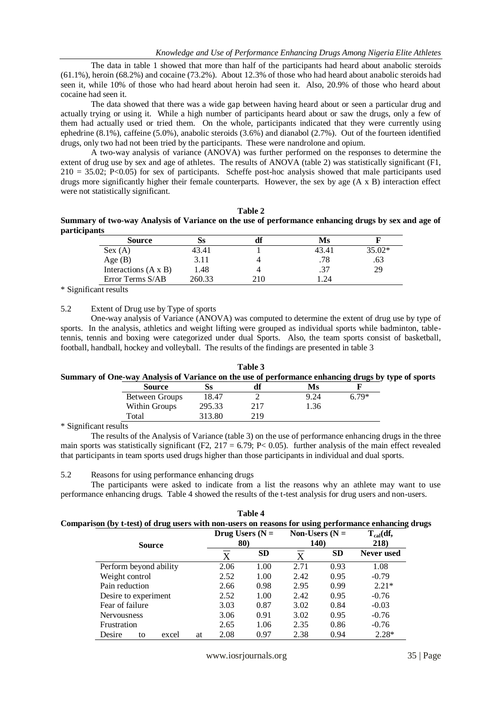The data in table 1 showed that more than half of the participants had heard about anabolic steroids (61.1%), heroin (68.2%) and cocaine (73.2%). About 12.3% of those who had heard about anabolic steroids had seen it, while 10% of those who had heard about heroin had seen it. Also, 20.9% of those who heard about cocaine had seen it.

The data showed that there was a wide gap between having heard about or seen a particular drug and actually trying or using it. While a high number of participants heard about or saw the drugs, only a few of them had actually used or tried them. On the whole, participants indicated that they were currently using ephedrine (8.1%), caffeine (5.0%), anabolic steroids (3.6%) and dianabol (2.7%). Out of the fourteen identified drugs, only two had not been tried by the participants. These were nandrolone and opium.

A two-way analysis of variance (ANOVA) was further performed on the responses to determine the extent of drug use by sex and age of athletes. The results of ANOVA (table 2) was statistically significant (F1,  $210 = 35.02$ ; P<0.05) for sex of participants. Scheffe post-hoc analysis showed that male participants used drugs more significantly higher their female counterparts. However, the sex by age (A x B) interaction effect were not statistically significant.

**Table 2 Summary of two-way Analysis of Variance on the use of performance enhancing drugs by sex and age of participants**

| Source                      |        | aı  | Ms    |          |
|-----------------------------|--------|-----|-------|----------|
| Sex (A)                     | 43.41  |     | 43.41 | $35.02*$ |
| Age $(B)$                   | 3.11   |     | .78   | .63      |
| Interactions $(A \times B)$ | 1.48   |     |       | 29       |
| Error Terms S/AB            | 260.33 | 210 | .24   |          |

\* Significant results

## 5.2 Extent of Drug use by Type of sports

Total

One-way analysis of Variance (ANOVA) was computed to determine the extent of drug use by type of sports. In the analysis, athletics and weight lifting were grouped as individual sports while badminton, tabletennis, tennis and boxing were categorized under dual Sports. Also, the team sports consist of basketball, football, handball, hockey and volleyball. The results of the findings are presented in table 3

|                                                                                                     |        | Table 3 |        |       |  |
|-----------------------------------------------------------------------------------------------------|--------|---------|--------|-------|--|
| Summary of One-way Analysis of Variance on the use of performance enhancing drugs by type of sports |        |         |        |       |  |
| Source                                                                                              |        |         | Ms     |       |  |
| Between Groups                                                                                      | 18.47  |         | 9.24   | 6.79* |  |
| Within Groups                                                                                       | 295.33 | 717     | . . 36 |       |  |

313.80

\* Significant results

The results of the Analysis of Variance (table 3) on the use of performance enhancing drugs in the three main sports was statistically significant (F2,  $217 = 6.79$ ; P< 0.05). further analysis of the main effect revealed that participants in team sports used drugs higher than those participants in individual and dual sports.

219

5.2 Reasons for using performance enhancing drugs

The participants were asked to indicate from a list the reasons why an athlete may want to use performance enhancing drugs. Table 4 showed the results of the t-test analysis for drug users and non-users.

| Table 4                                                                                              |  |
|------------------------------------------------------------------------------------------------------|--|
| Comparison (by t-test) of drug users with non-users on reasons for using performance enhancing drugs |  |

|                             | Drug Users ( $N =$ |           | Non-Users ( $N =$ |              | $T_{cal}(df,$ |  |
|-----------------------------|--------------------|-----------|-------------------|--------------|---------------|--|
| <b>Source</b>               |                    | 80)       |                   | <b>140</b> ) | 218)          |  |
|                             | X                  | <b>SD</b> | X                 | <b>SD</b>    | Never used    |  |
| Perform beyond ability      | 2.06               | 1.00      | 2.71              | 0.93         | 1.08          |  |
| Weight control              | 2.52               | 1.00      | 2.42              | 0.95         | $-0.79$       |  |
| Pain reduction              | 2.66               | 0.98      | 2.95              | 0.99         | $2.21*$       |  |
| Desire to experiment        | 2.52               | 1.00      | 2.42              | 0.95         | $-0.76$       |  |
| Fear of failure             | 3.03               | 0.87      | 3.02              | 0.84         | $-0.03$       |  |
| <b>Nervousness</b>          | 3.06               | 0.91      | 3.02              | 0.95         | $-0.76$       |  |
| Frustration                 | 2.65               | 1.06      | 2.35              | 0.86         | $-0.76$       |  |
| Desire<br>excel<br>at<br>to | 2.08               | 0.97      | 2.38              | 0.94         | $2.28*$       |  |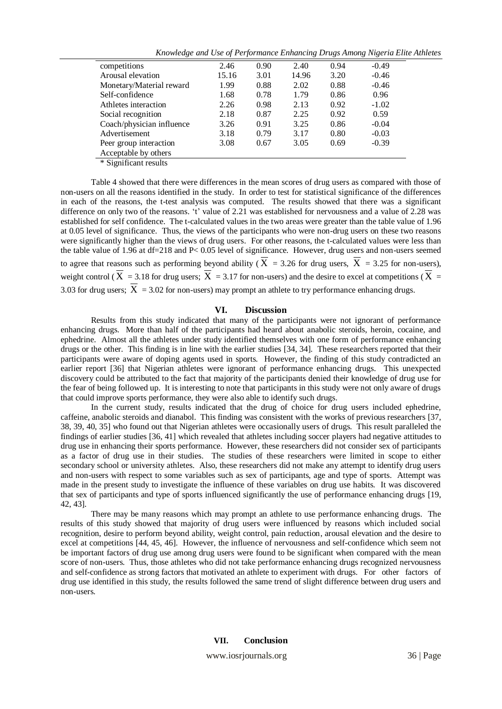| Knowledge and Use of Performance Enhancing Drugs Among Nigeria Elite Athletes |  |  |  |  |
|-------------------------------------------------------------------------------|--|--|--|--|
|                                                                               |  |  |  |  |

| competitions                                                   | 2.46  | 0.90 | 2.40  | 0.94 | $-0.49$ |
|----------------------------------------------------------------|-------|------|-------|------|---------|
| Arousal elevation                                              | 15.16 | 3.01 | 14.96 | 3.20 | $-0.46$ |
| Monetary/Material reward                                       | 1.99  | 0.88 | 2.02  | 0.88 | $-0.46$ |
| Self-confidence                                                | 1.68  | 0.78 | 1.79  | 0.86 | 0.96    |
| Athletes interaction                                           | 2.26  | 0.98 | 2.13  | 0.92 | $-1.02$ |
| Social recognition                                             | 2.18  | 0.87 | 2.25  | 0.92 | 0.59    |
| Coach/physician influence                                      | 3.26  | 0.91 | 3.25  | 0.86 | $-0.04$ |
| Advertisement                                                  | 3.18  | 0.79 | 3.17  | 0.80 | $-0.03$ |
| Peer group interaction                                         | 3.08  | 0.67 | 3.05  | 0.69 | $-0.39$ |
| Acceptable by others                                           |       |      |       |      |         |
| $\Phi$ of $\mathbb{R}^n$ and $\mathbb{R}^n$ and $\mathbb{R}^n$ |       |      |       |      |         |

\* Significant results

Table 4 showed that there were differences in the mean scores of drug users as compared with those of non-users on all the reasons identified in the study. In order to test for statistical significance of the differences in each of the reasons, the t-test analysis was computed. The results showed that there was a significant difference on only two of the reasons. 't' value of 2.21 was established for nervousness and a value of  $2.28$  was established for self confidence. The t-calculated values in the two areas were greater than the table value of 1.96 at 0.05 level of significance. Thus, the views of the participants who were non-drug users on these two reasons were significantly higher than the views of drug users. For other reasons, the t-calculated values were less than the table value of 1.96 at df=218 and P< 0.05 level of significance. However, drug users and non-users seemed to agree that reasons such as performing beyond ability ( $X = 3.26$  for drug users,  $X = 3.25$  for non-users), weight control ( $X = 3.18$  for drug users;  $X = 3.17$  for non-users) and the desire to excel at competitions ( $X =$ 3.03 for drug users;  $X = 3.02$  for non-users) may prompt an athlete to try performance enhancing drugs.

## **VI. Discussion**

Results from this study indicated that many of the participants were not ignorant of performance enhancing drugs. More than half of the participants had heard about anabolic steroids, heroin, cocaine, and ephedrine. Almost all the athletes under study identified themselves with one form of performance enhancing drugs or the other. This finding is in line with the earlier studies [34, 34]. These researchers reported that their participants were aware of doping agents used in sports. However, the finding of this study contradicted an earlier report [36] that Nigerian athletes were ignorant of performance enhancing drugs. This unexpected discovery could be attributed to the fact that majority of the participants denied their knowledge of drug use for the fear of being followed up. It is interesting to note that participants in this study were not only aware of drugs that could improve sports performance, they were also able to identify such drugs.

In the current study, results indicated that the drug of choice for drug users included ephedrine, caffeine, anabolic steroids and dianabol. This finding was consistent with the works of previous researchers [37, 38, 39, 40, 35] who found out that Nigerian athletes were occasionally users of drugs. This result paralleled the findings of earlier studies [36, 41] which revealed that athletes including soccer players had negative attitudes to drug use in enhancing their sports performance. However, these researchers did not consider sex of participants as a factor of drug use in their studies. The studies of these researchers were limited in scope to either secondary school or university athletes. Also, these researchers did not make any attempt to identify drug users and non-users with respect to some variables such as sex of participants, age and type of sports. Attempt was made in the present study to investigate the influence of these variables on drug use habits. It was discovered that sex of participants and type of sports influenced significantly the use of performance enhancing drugs [19, 42, 43].

There may be many reasons which may prompt an athlete to use performance enhancing drugs. The results of this study showed that majority of drug users were influenced by reasons which included social recognition, desire to perform beyond ability, weight control, pain reduction, arousal elevation and the desire to excel at competitions [44, 45, 46]. However, the influence of nervousness and self-confidence which seem not be important factors of drug use among drug users were found to be significant when compared with the mean score of non-users. Thus, those athletes who did not take performance enhancing drugs recognized nervousness and self-confidence as strong factors that motivated an athlete to experiment with drugs. For other factors of drug use identified in this study, the results followed the same trend of slight difference between drug users and non-users.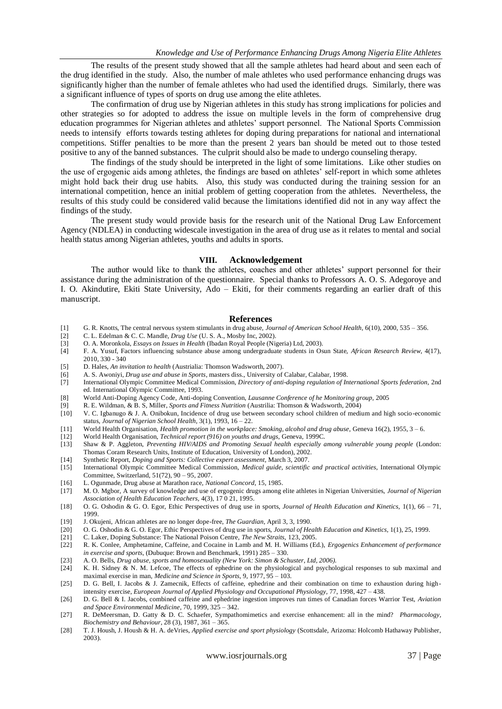The results of the present study showed that all the sample athletes had heard about and seen each of the drug identified in the study. Also, the number of male athletes who used performance enhancing drugs was significantly higher than the number of female athletes who had used the identified drugs. Similarly, there was a significant influence of types of sports on drug use among the elite athletes.

The confirmation of drug use by Nigerian athletes in this study has strong implications for policies and other strategies so for adopted to address the issue on multiple levels in the form of comprehensive drug education programmes for Nigerian athletes and athletes' support personnel. The National Sports Commission needs to intensify efforts towards testing athletes for doping during preparations for national and international competitions. Stiffer penalties to be more than the present 2 years ban should be meted out to those tested positive to any of the banned substances. The culprit should also be made to undergo counseling therapy.

The findings of the study should be interpreted in the light of some limitations. Like other studies on the use of ergogenic aids among athletes, the findings are based on athletes" self-report in which some athletes might hold back their drug use habits. Also, this study was conducted during the training session for an international competition, hence an initial problem of getting cooperation from the athletes. Nevertheless, the results of this study could be considered valid because the limitations identified did not in any way affect the findings of the study.

The present study would provide basis for the research unit of the National Drug Law Enforcement Agency (NDLEA) in conducting widescale investigation in the area of drug use as it relates to mental and social health status among Nigerian athletes, youths and adults in sports.

#### **VIII. Acknowledgement**

The author would like to thank the athletes, coaches and other athletes" support personnel for their assistance during the administration of the questionnaire. Special thanks to Professors A. O. S. Adegoroye and I. O. Akindutire, Ekiti State University, Ado – Ekiti, for their comments regarding an earlier draft of this manuscript.

### **References**

- [1] G. R. Knotts, The central nervous system stimulants in drug abuse, *Journal of American School Health,* 6(10), 2000, 535 356.
- [2] C. L. Edelman & C. C. Mandle, *Drug Use* (U. S. A., Mosby Inc, 2002).
- [3] O. A. Moronkola, *Essays on Issues in Health* (Ibadan Royal People (Nigeria) Ltd, 2003).
- [4] F. A. Yusuf, Factors influencing substance abuse among undergraduate students in Osun State, *African Research Review*, 4(17), 2010, 330 - 340
- [5] D. Hales, *An invitation to health* (Austrialia: Thomson Wadsworth, 2007).
- [6] A. S. Awoniyi, *Drug use and abuse in Sports*, masters diss., University of Calabar, Calabar, 1998.
- [7] International Olympic Committee Medical Commission, *Directory of anti-doping regulation of International Sports federation,* 2nd ed. International Olympic Committee, 1993.
- [8] World Anti-Doping Agency Code, Anti-doping Convention, *Lausanne Conference of he Monitoring group,* 2005
- [9] R. E. Wildman, & B. S, Miller, *Sports and Fitness Nutrition* (Austrilia: Thomson & Wadsworth, 2004)
- V. C. Igbanugo & J. A. Onibokun, Incidence of drug use between secondary school children of medium and high socio-economic status, *Journal of Nigerian School Health,* 3(1), 1993, 16 – 22.
- [11] World Health Organisation, *Health promotion in the workplace: Smoking, alcohol and drug abuse,* Geneva 16(2), 1955, 3 6.
- [12] World Health Organisation, *Technical report (916) on youths and drugs,* Geneva, 1999C.
- [13] Shaw & P. Aggleton, *Preventing HIV/AIDS and Promoting Sexual health especially among vulnerable young people* (London: Thomas Coram Research Units, Institute of Education, University of London), 2002.
- [14] Synthetic Report, *Doping and Sports: Collective expert assessment,* March 3, 2007.
- [15] International Olympic Committee Medical Commission, *Medical guide, scientific and practical activities,* International Olympic Committee, Switzerland, 51(72), 90 – 95, 2007.
- [16] L. Ogunmade, Drug abuse at Marathon race, *National Concord,* 15, 1985.
- [17] M. O. Mgbor, A survey of knowledge and use of ergogenic drugs among elite athletes in Nigerian Universities, *Journal of Nigerian Association of Health Education Teachers,* 4(3), 17 0 21, 1995.
- [18] O. G. Oshodin & G. O. Egor, Ethic Perspectives of drug use in sports, *Journal of Health Education and Kinetics,* 1(1), 66 71, 1999.
- [19] J. Okujeni, African athletes are no longer dope-free, *The Guardian*, April 3, 3, 1990.
- [20] O. G. Oshodin & G. O. Egor, Ethic Perspectives of drug use in sports, *Journal of Health Education and Kinetics,* 1(1), 25, 1999.
- [21] C. Laker, Doping Substance: The National Poison Centre, *The New Straits,* 123, 2005.
- [22] R. K. Conlee, Amphetamine, Caffeine, and Cocaine in Lamb and M. H. Williams (Ed.), *Ergogenics Enhancement of performance in exercise and sports,* (Dubuque: Brown and Benchmark, 1991) 285 – 330.
- [23] A. O. Bells, *Drug abuse, sports and homosexuality (New York: Simon & Schuster, Ltd, 2006).*
- [24] K. H. Sidney & N. M. Lefcoe, The effects of ephedrine on the physiological and psychological responses to sub maximal and maximal exercise in man, *Medicine and Science in Sports,* 9, 1977, 95 – 103.
- [25] D. G. Bell, I. Jacobs & J. Zamecnik, Effects of caffeine, ephedrine and their combination on time to exhaustion during highintensity exercise, *European Journal of Applied Physiology and Occupational Physiology,* 77, 1998, 427 – 438.
- [26] D. G. Bell & I. Jacobs, combined caffeine and ephedrine ingestion improves run times of Canadian forces Warrior Test, *Aviation and Space Environmental Medicine*, 70, 1999, 325 – 342.
- [27] R. DeMeersman, D. Gatty & D. C. Schaefer, Sympathomimetics and exercise enhancement: all in the mind? *Pharmacology, Biochemistry and Behaviour*, 28 (3), 1987, 361 – 365.
- [28] T. J. Housh, J. Housh & H. A. deVries, *Applied exercise and sport physiology* (Scottsdale, Arizoma: Holcomb Hathaway Publisher, 2003).